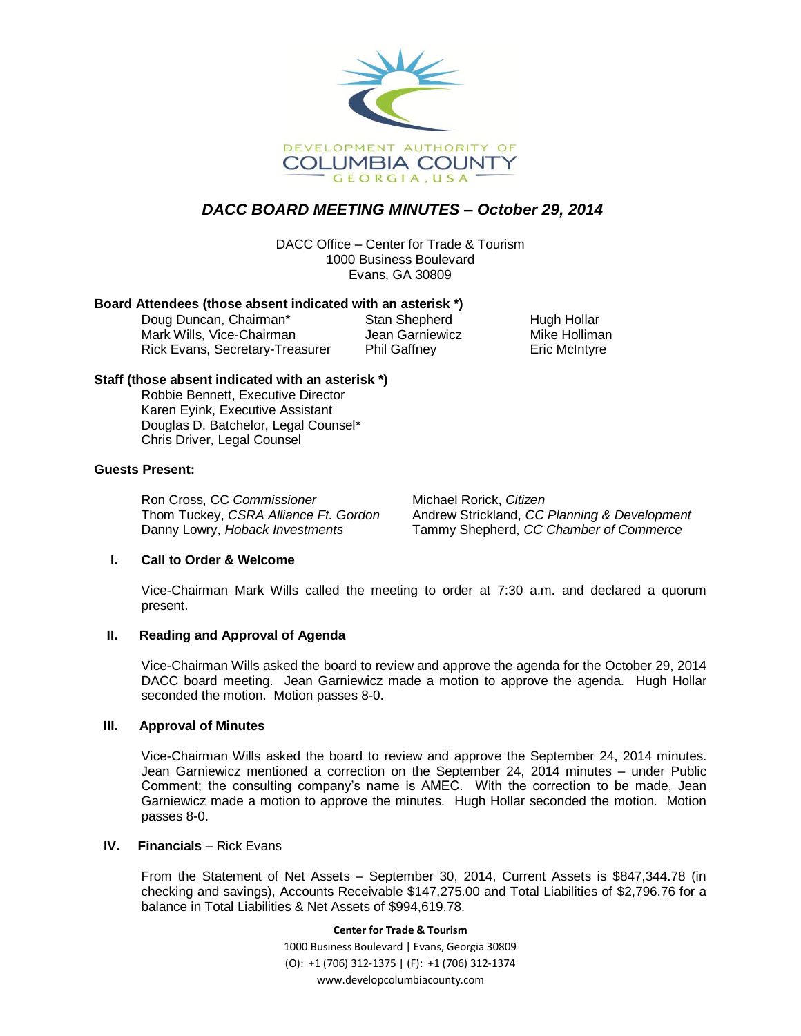

# *DACC BOARD MEETING MINUTES – October 29, 2014*

DACC Office – Center for Trade & Tourism 1000 Business Boulevard Evans, GA 30809

#### **Board Attendees (those absent indicated with an asterisk \*)**

Doug Duncan, Chairman\* Stan Shepherd Hugh Hollar Mark Wills, Vice-Chairman Jean Garniewicz Mike Holliman Rick Evans, Secretary-Treasurer Phil Gaffney Frick McIntyre

## **Staff (those absent indicated with an asterisk \*)**

Robbie Bennett, Executive Director Karen Eyink, Executive Assistant Douglas D. Batchelor, Legal Counsel\* Chris Driver, Legal Counsel

## **Guests Present:**

Ron Cross, CC *Commissioner* Michael Rorick, *Citizen* 

Thom Tuckey, *CSRA Alliance Ft. Gordon* Andrew Strickland, *CC Planning & Development* Danny Lowry, *Hoback Investments* Tammy Shepherd, *CC Chamber of Commerce*

## **I. Call to Order & Welcome**

Vice-Chairman Mark Wills called the meeting to order at 7:30 a.m. and declared a quorum present.

#### **II. Reading and Approval of Agenda**

Vice-Chairman Wills asked the board to review and approve the agenda for the October 29, 2014 DACC board meeting. Jean Garniewicz made a motion to approve the agenda. Hugh Hollar seconded the motion. Motion passes 8-0.

#### **III. Approval of Minutes**

Vice-Chairman Wills asked the board to review and approve the September 24, 2014 minutes. Jean Garniewicz mentioned a correction on the September 24, 2014 minutes – under Public Comment; the consulting company's name is AMEC. With the correction to be made, Jean Garniewicz made a motion to approve the minutes. Hugh Hollar seconded the motion. Motion passes 8-0.

## **IV.** Financials – Rick Evans

From the Statement of Net Assets – September 30, 2014, Current Assets is \$847,344.78 (in checking and savings), Accounts Receivable \$147,275.00 and Total Liabilities of \$2,796.76 for a balance in Total Liabilities & Net Assets of \$994,619.78.

**Center for Trade & Tourism**

1000 Business Boulevard | Evans, Georgia 30809 (O): +1 (706) 312-1375 | (F): +1 (706) 312-1374 www.developcolumbiacounty.com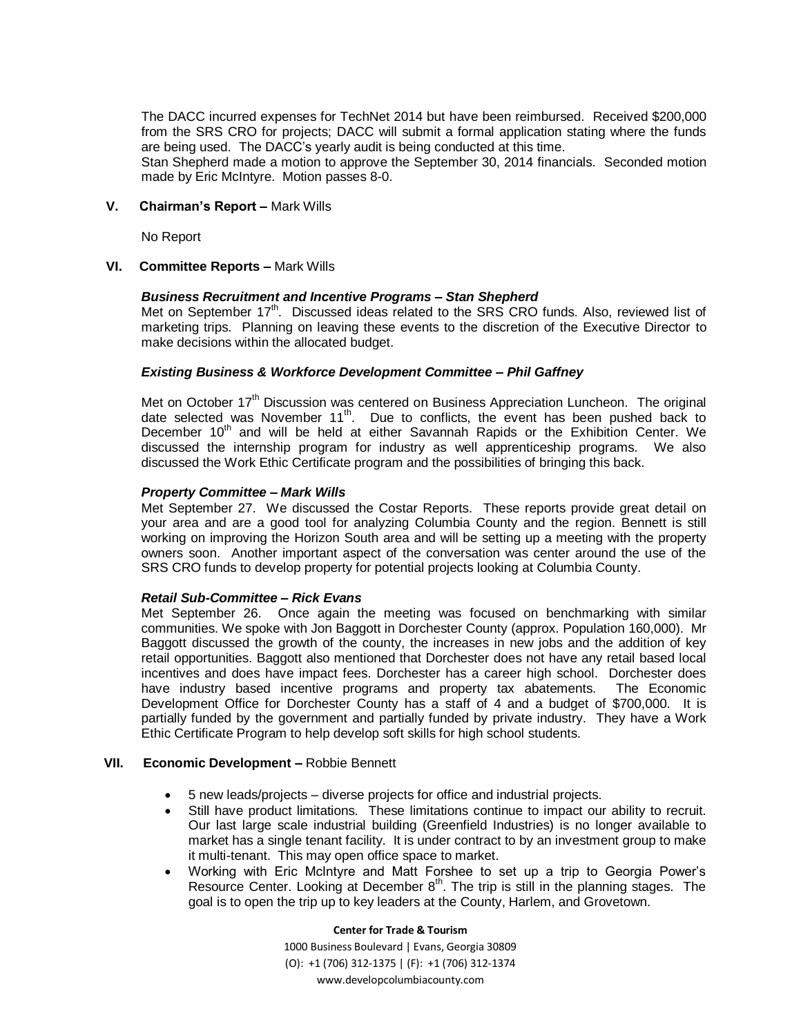The DACC incurred expenses for TechNet 2014 but have been reimbursed. Received \$200,000 from the SRS CRO for projects; DACC will submit a formal application stating where the funds are being used. The DACC's yearly audit is being conducted at this time.

Stan Shepherd made a motion to approve the September 30, 2014 financials. Seconded motion made by Eric McIntyre. Motion passes 8-0.

#### **V. Chairman's Report –** Mark Wills

No Report

#### **VI. Committee Reports –** Mark Wills

#### *Business Recruitment and Incentive Programs – Stan Shepherd*

Met on September 17<sup>th</sup>. Discussed ideas related to the SRS CRO funds. Also, reviewed list of marketing trips. Planning on leaving these events to the discretion of the Executive Director to make decisions within the allocated budget.

#### *Existing Business & Workforce Development Committee – Phil Gaffney*

Met on October 17<sup>th</sup> Discussion was centered on Business Appreciation Luncheon. The original date selected was November 11<sup>th</sup>. Due to conflicts, the event has been pushed back to December 10<sup>th</sup> and will be held at either Savannah Rapids or the Exhibition Center. We discussed the internship program for industry as well apprenticeship programs. We also discussed the Work Ethic Certificate program and the possibilities of bringing this back.

#### *Property Committee – Mark Wills*

Met September 27. We discussed the Costar Reports. These reports provide great detail on your area and are a good tool for analyzing Columbia County and the region. Bennett is still working on improving the Horizon South area and will be setting up a meeting with the property owners soon. Another important aspect of the conversation was center around the use of the SRS CRO funds to develop property for potential projects looking at Columbia County.

#### *Retail Sub-Committee – Rick Evans*

Met September 26. Once again the meeting was focused on benchmarking with similar communities. We spoke with Jon Baggott in Dorchester County (approx. Population 160,000). Mr Baggott discussed the growth of the county, the increases in new jobs and the addition of key retail opportunities. Baggott also mentioned that Dorchester does not have any retail based local incentives and does have impact fees. Dorchester has a career high school. Dorchester does have industry based incentive programs and property tax abatements. The Economic Development Office for Dorchester County has a staff of 4 and a budget of \$700,000. It is partially funded by the government and partially funded by private industry. They have a Work Ethic Certificate Program to help develop soft skills for high school students.

#### **VII. Economic Development –** Robbie Bennett

- 5 new leads/projects diverse projects for office and industrial projects.
- Still have product limitations. These limitations continue to impact our ability to recruit. Our last large scale industrial building (Greenfield Industries) is no longer available to market has a single tenant facility. It is under contract to by an investment group to make it multi-tenant. This may open office space to market.
- Working with Eric McIntyre and Matt Forshee to set up a trip to Georgia Power's Resource Center. Looking at December  $8<sup>th</sup>$ . The trip is still in the planning stages. The goal is to open the trip up to key leaders at the County, Harlem, and Grovetown.

#### **Center for Trade & Tourism**

1000 Business Boulevard | Evans, Georgia 30809 (O): +1 (706) 312-1375 | (F): +1 (706) 312-1374 www.developcolumbiacounty.com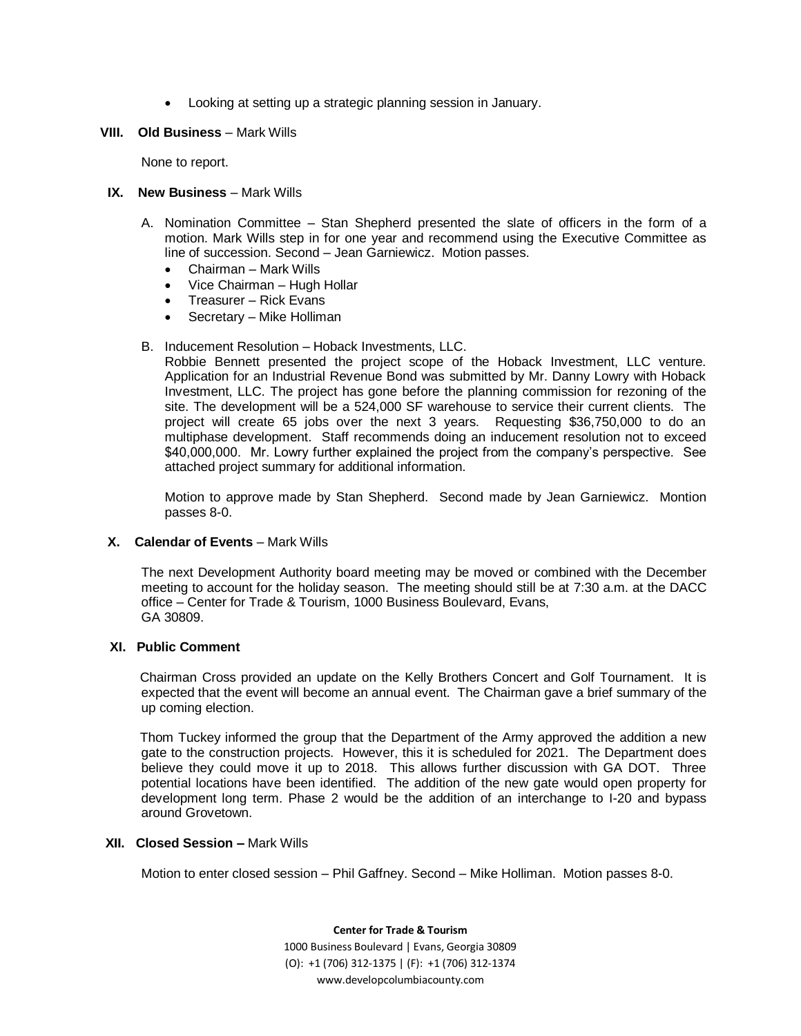- Looking at setting up a strategic planning session in January.
- **VIII. Old Business**  Mark Wills

None to report.

- **IX.** New Business Mark Wills
	- A. Nomination Committee Stan Shepherd presented the slate of officers in the form of a motion. Mark Wills step in for one year and recommend using the Executive Committee as line of succession. Second – Jean Garniewicz. Motion passes.
		- Chairman Mark Wills
		- Vice Chairman Hugh Hollar
		- Treasurer Rick Evans
		- Secretary Mike Holliman
	- B. Inducement Resolution Hoback Investments, LLC.

Robbie Bennett presented the project scope of the Hoback Investment, LLC venture. Application for an Industrial Revenue Bond was submitted by Mr. Danny Lowry with Hoback Investment, LLC. The project has gone before the planning commission for rezoning of the site. The development will be a 524,000 SF warehouse to service their current clients. The project will create 65 jobs over the next 3 years. Requesting \$36,750,000 to do an multiphase development. Staff recommends doing an inducement resolution not to exceed \$40,000,000. Mr. Lowry further explained the project from the company's perspective. See attached project summary for additional information.

Motion to approve made by Stan Shepherd. Second made by Jean Garniewicz. Montion passes 8-0.

#### **X.** Calendar of Events – Mark Wills

The next Development Authority board meeting may be moved or combined with the December meeting to account for the holiday season. The meeting should still be at 7:30 a.m. at the DACC office – Center for Trade & Tourism, 1000 Business Boulevard, Evans, GA 30809.

### **XI. Public Comment**

Chairman Cross provided an update on the Kelly Brothers Concert and Golf Tournament. It is expected that the event will become an annual event. The Chairman gave a brief summary of the up coming election.

Thom Tuckey informed the group that the Department of the Army approved the addition a new gate to the construction projects. However, this it is scheduled for 2021. The Department does believe they could move it up to 2018. This allows further discussion with GA DOT. Three potential locations have been identified. The addition of the new gate would open property for development long term. Phase 2 would be the addition of an interchange to I-20 and bypass around Grovetown.

#### **XII. Closed Session –** Mark Wills

Motion to enter closed session – Phil Gaffney. Second – Mike Holliman. Motion passes 8-0.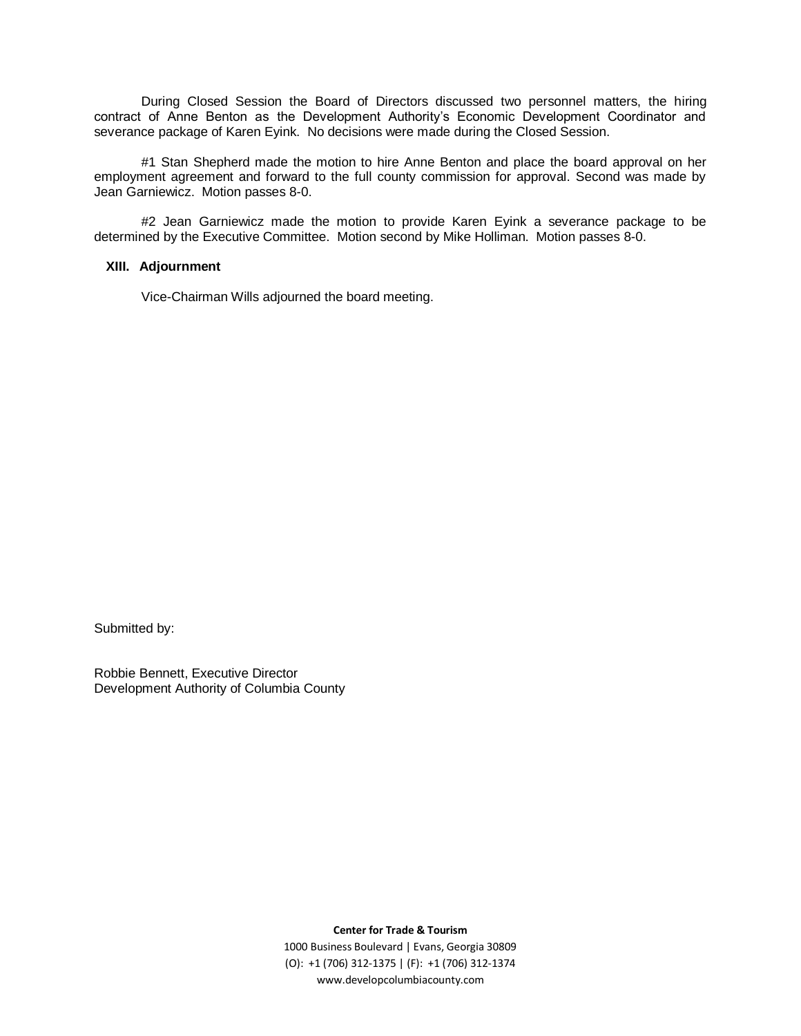During Closed Session the Board of Directors discussed two personnel matters, the hiring contract of Anne Benton as the Development Authority's Economic Development Coordinator and severance package of Karen Eyink. No decisions were made during the Closed Session.

#1 Stan Shepherd made the motion to hire Anne Benton and place the board approval on her employment agreement and forward to the full county commission for approval. Second was made by Jean Garniewicz. Motion passes 8-0.

#2 Jean Garniewicz made the motion to provide Karen Eyink a severance package to be determined by the Executive Committee. Motion second by Mike Holliman. Motion passes 8-0.

### **XIII. Adjournment**

Vice-Chairman Wills adjourned the board meeting.

Submitted by:

Robbie Bennett, Executive Director Development Authority of Columbia County

**Center for Trade & Tourism**

1000 Business Boulevard | Evans, Georgia 30809 (O): +1 (706) 312-1375 | (F): +1 (706) 312-1374 www.developcolumbiacounty.com